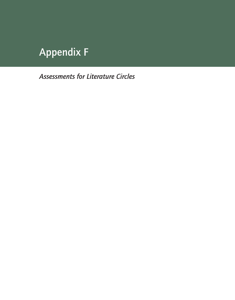## Appendix F

*Assessments for Literature Circles*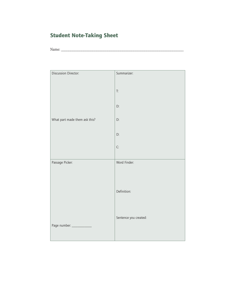## Student Note-Taking Sheet

Name: \_\_\_\_\_\_\_\_\_\_\_\_\_\_\_\_\_\_\_\_\_\_\_\_\_\_\_\_\_\_\_\_\_\_\_\_\_\_\_\_\_\_\_\_\_\_\_\_\_\_\_\_\_\_\_\_\_\_\_\_\_\_\_\_\_\_

| Discussion Director:          | Summarizer:                |  |
|-------------------------------|----------------------------|--|
|                               | $\mathop{\text{\rm T:\,}}$ |  |
|                               | D:                         |  |
| What part made them ask this? | D:                         |  |
|                               | D:                         |  |
|                               | C:                         |  |
| Passage Picker:               | Word Finder:               |  |
|                               |                            |  |
|                               | Definition:                |  |
|                               |                            |  |
|                               | Sentence you created:      |  |
| Page number: _____________    |                            |  |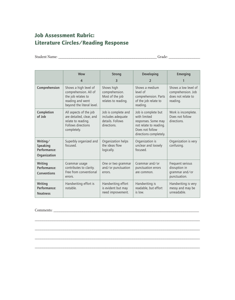## Job Assessment Rubric: Literature Circles/Reading Response

Student Name: \_\_\_\_\_\_\_\_\_\_\_\_\_\_\_\_\_\_\_\_\_\_\_\_\_\_\_\_\_\_\_\_\_\_\_\_\_\_\_\_\_\_\_\_\_\_\_\_\_\_\_\_\_ Grade: \_\_\_\_\_\_\_\_\_\_\_\_\_\_\_\_

|                                                      | <b>Wow</b>                                                                                                            | <b>Strong</b>                                                               | Developing                                                                                                                        | <b>Emerging</b>                                                              |
|------------------------------------------------------|-----------------------------------------------------------------------------------------------------------------------|-----------------------------------------------------------------------------|-----------------------------------------------------------------------------------------------------------------------------------|------------------------------------------------------------------------------|
|                                                      | 4                                                                                                                     | 3                                                                           | $\overline{2}$                                                                                                                    |                                                                              |
| Comprehension                                        | Shows a high level of<br>comprehension. All of<br>the job relates to<br>reading and went<br>beyond the literal level. | Shows high<br>comprehension.<br>Most of the job<br>relates to reading.      | Shows a medium<br>level of<br>comprehension. Parts<br>of the job relate to<br>reading.                                            | Shows a low level of<br>comprehension. Job<br>does not relate to<br>reading. |
| Completion<br>of Job                                 | All aspects of the job<br>are detailed, clear, and<br>relate to reading.<br>Follows directions<br>completely.         | Job is complete and<br>includes adequate<br>details. Follows<br>directions. | Job is complete but<br>with limited<br>responses. Some may<br>not relate to reading.<br>Does not follow<br>directions completely. | Work is incomplete.<br>Does not follow<br>directions.                        |
| Writing/<br>Speaking<br>Performance:<br>Organization | Superbly organized and<br>focused.                                                                                    | Organization helps<br>the ideas flow<br>logically.                          | Organization is<br>unclear and loosely<br>focused.                                                                                | Organization is very<br>confusing.                                           |
| Writing<br>Performance:<br>Conventions               | Grammar usage<br>contributes to clarity.<br>Free from conventional<br>errors.                                         | One or two grammar<br>and/or punctuation<br>errors.                         | Grammar and/or<br>punctuation errors<br>are common.                                                                               | Frequent serious<br>disruption in<br>grammar and/or<br>punctuation.          |
| Writing<br>Performance:<br><b>Neatness</b>           | Handwriting effort is<br>notable.                                                                                     | Handwriting effort<br>is evident but may<br>need improvement.               | Handwriting is<br>readable, but effort<br>is low                                                                                  | Handwriting is very<br>messy and may be<br>unreadable.                       |

\_\_\_\_\_\_\_\_\_\_\_\_\_\_\_\_\_\_\_\_\_\_\_\_\_\_\_\_\_\_\_\_\_\_\_\_\_\_\_\_\_\_\_\_\_\_\_\_\_\_\_\_\_\_\_\_\_\_\_\_\_\_\_\_\_\_\_\_\_\_\_\_\_\_\_\_\_\_\_\_\_\_\_\_\_\_

\_\_\_\_\_\_\_\_\_\_\_\_\_\_\_\_\_\_\_\_\_\_\_\_\_\_\_\_\_\_\_\_\_\_\_\_\_\_\_\_\_\_\_\_\_\_\_\_\_\_\_\_\_\_\_\_\_\_\_\_\_\_\_\_\_\_\_\_\_\_\_\_\_\_\_\_\_\_\_\_\_\_\_\_\_\_

\_\_\_\_\_\_\_\_\_\_\_\_\_\_\_\_\_\_\_\_\_\_\_\_\_\_\_\_\_\_\_\_\_\_\_\_\_\_\_\_\_\_\_\_\_\_\_\_\_\_\_\_\_\_\_\_\_\_\_\_\_\_\_\_\_\_\_\_\_\_\_\_\_\_\_\_\_\_\_\_\_\_\_\_\_\_

\_\_\_\_\_\_\_\_\_\_\_\_\_\_\_\_\_\_\_\_\_\_\_\_\_\_\_\_\_\_\_\_\_\_\_\_\_\_\_\_\_\_\_\_\_\_\_\_\_\_\_\_\_\_\_\_\_\_\_\_\_\_\_\_\_\_\_\_\_\_\_\_\_\_\_\_\_\_\_\_\_\_\_\_\_\_

Comments: